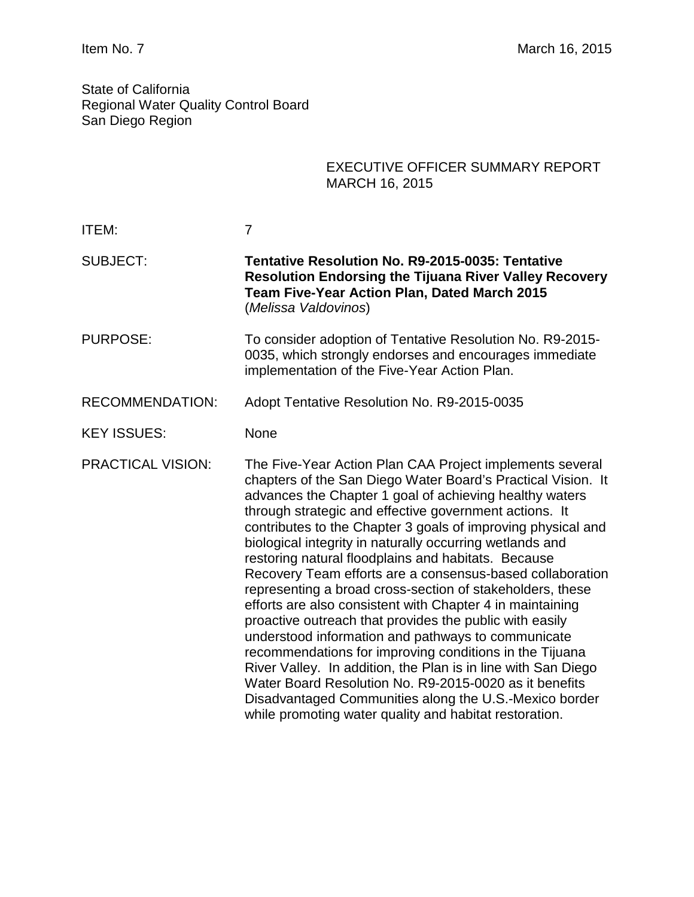State of California Regional Water Quality Control Board San Diego Region

|                          | <b>EXECUTIVE OFFICER SUMMARY REPORT</b><br><b>MARCH 16, 2015</b>                                                                                                                                                                                                                                                                                                                                                                                                                                                                                                                                                                                                                                                                                                                                                                                                                                                                                                                                                                                   |
|--------------------------|----------------------------------------------------------------------------------------------------------------------------------------------------------------------------------------------------------------------------------------------------------------------------------------------------------------------------------------------------------------------------------------------------------------------------------------------------------------------------------------------------------------------------------------------------------------------------------------------------------------------------------------------------------------------------------------------------------------------------------------------------------------------------------------------------------------------------------------------------------------------------------------------------------------------------------------------------------------------------------------------------------------------------------------------------|
| <b>ITEM:</b>             | $\overline{7}$                                                                                                                                                                                                                                                                                                                                                                                                                                                                                                                                                                                                                                                                                                                                                                                                                                                                                                                                                                                                                                     |
| <b>SUBJECT:</b>          | Tentative Resolution No. R9-2015-0035: Tentative<br><b>Resolution Endorsing the Tijuana River Valley Recovery</b><br>Team Five-Year Action Plan, Dated March 2015<br>(Melissa Valdovinos)                                                                                                                                                                                                                                                                                                                                                                                                                                                                                                                                                                                                                                                                                                                                                                                                                                                          |
| <b>PURPOSE:</b>          | To consider adoption of Tentative Resolution No. R9-2015-<br>0035, which strongly endorses and encourages immediate<br>implementation of the Five-Year Action Plan.                                                                                                                                                                                                                                                                                                                                                                                                                                                                                                                                                                                                                                                                                                                                                                                                                                                                                |
| <b>RECOMMENDATION:</b>   | Adopt Tentative Resolution No. R9-2015-0035                                                                                                                                                                                                                                                                                                                                                                                                                                                                                                                                                                                                                                                                                                                                                                                                                                                                                                                                                                                                        |
| <b>KEY ISSUES:</b>       | None                                                                                                                                                                                                                                                                                                                                                                                                                                                                                                                                                                                                                                                                                                                                                                                                                                                                                                                                                                                                                                               |
| <b>PRACTICAL VISION:</b> | The Five-Year Action Plan CAA Project implements several<br>chapters of the San Diego Water Board's Practical Vision. It<br>advances the Chapter 1 goal of achieving healthy waters<br>through strategic and effective government actions. It<br>contributes to the Chapter 3 goals of improving physical and<br>biological integrity in naturally occurring wetlands and<br>restoring natural floodplains and habitats. Because<br>Recovery Team efforts are a consensus-based collaboration<br>representing a broad cross-section of stakeholders, these<br>efforts are also consistent with Chapter 4 in maintaining<br>proactive outreach that provides the public with easily<br>understood information and pathways to communicate<br>recommendations for improving conditions in the Tijuana<br>River Valley. In addition, the Plan is in line with San Diego<br>Water Board Resolution No. R9-2015-0020 as it benefits<br>Disadvantaged Communities along the U.S.-Mexico border<br>while promoting water quality and habitat restoration. |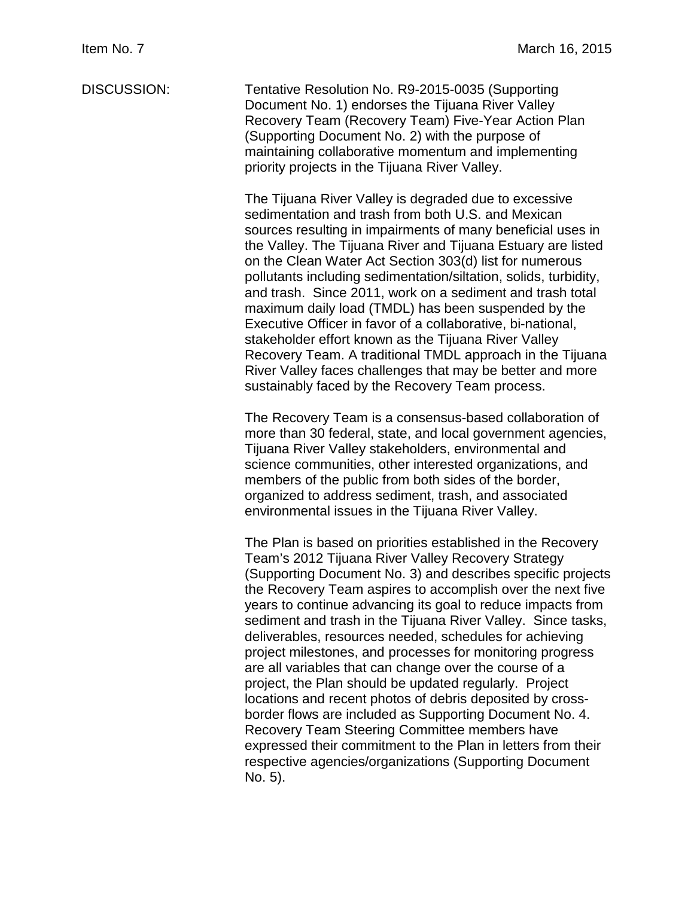DISCUSSION: Tentative Resolution No. R9-2015-0035 (Supporting Document No. 1) endorses the Tijuana River Valley Recovery Team (Recovery Team) Five-Year Action Plan (Supporting Document No. 2) with the purpose of maintaining collaborative momentum and implementing priority projects in the Tijuana River Valley.

> The Tijuana River Valley is degraded due to excessive sedimentation and trash from both U.S. and Mexican sources resulting in impairments of many beneficial uses in the Valley. The Tijuana River and Tijuana Estuary are listed on the Clean Water Act Section 303(d) list for numerous pollutants including sedimentation/siltation, solids, turbidity, and trash. Since 2011, work on a sediment and trash total maximum daily load (TMDL) has been suspended by the Executive Officer in favor of a collaborative, bi-national, stakeholder effort known as the Tijuana River Valley Recovery Team. A traditional TMDL approach in the Tijuana River Valley faces challenges that may be better and more sustainably faced by the Recovery Team process.

> The Recovery Team is a consensus-based collaboration of more than 30 federal, state, and local government agencies, Tijuana River Valley stakeholders, environmental and science communities, other interested organizations, and members of the public from both sides of the border, organized to address sediment, trash, and associated environmental issues in the Tijuana River Valley.

> The Plan is based on priorities established in the Recovery Team's 2012 Tijuana River Valley Recovery Strategy (Supporting Document No. 3) and describes specific projects the Recovery Team aspires to accomplish over the next five years to continue advancing its goal to reduce impacts from sediment and trash in the Tijuana River Valley. Since tasks, deliverables, resources needed, schedules for achieving project milestones, and processes for monitoring progress are all variables that can change over the course of a project, the Plan should be updated regularly. Project locations and recent photos of debris deposited by crossborder flows are included as Supporting Document No. 4. Recovery Team Steering Committee members have expressed their commitment to the Plan in letters from their respective agencies/organizations (Supporting Document No. 5).